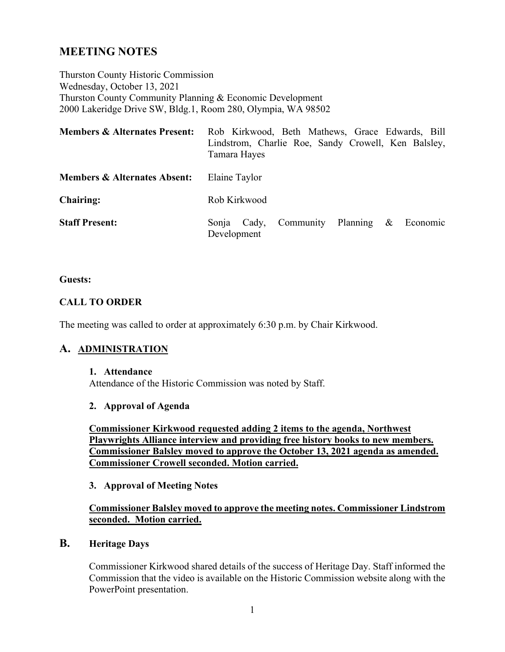# **MEETING NOTES**

Thurston County Historic Commission Wednesday, October 13, 2021 Thurston County Community Planning & Economic Development 2000 Lakeridge Drive SW, Bldg.1, Room 280, Olympia, WA 98502

| <b>Members &amp; Alternates Present:</b> | Rob Kirkwood, Beth Mathews, Grace Edwards, Bill<br>Lindstrom, Charlie Roe, Sandy Crowell, Ken Balsley,<br>Tamara Hayes |
|------------------------------------------|------------------------------------------------------------------------------------------------------------------------|
| <b>Members &amp; Alternates Absent:</b>  | Elaine Taylor                                                                                                          |
| <b>Chairing:</b>                         | Rob Kirkwood                                                                                                           |
| <b>Staff Present:</b>                    | Community Planning $\&$<br>Economic<br>Cady,<br>Sonja<br>Development                                                   |

#### **Guests:**

#### **CALL TO ORDER**

The meeting was called to order at approximately 6:30 p.m. by Chair Kirkwood.

# **A. ADMINISTRATION**

#### **1. Attendance**

Attendance of the Historic Commission was noted by Staff.

#### **2. Approval of Agenda**

**Commissioner Kirkwood requested adding 2 items to the agenda, Northwest Playwrights Alliance interview and providing free history books to new members. Commissioner Balsley moved to approve the October 13, 2021 agenda as amended. Commissioner Crowell seconded. Motion carried.** 

#### **3. Approval of Meeting Notes**

# **Commissioner Balsley moved to approve the meeting notes. Commissioner Lindstrom seconded. Motion carried.**

#### **B. Heritage Days**

Commissioner Kirkwood shared details of the success of Heritage Day. Staff informed the Commission that the video is available on the Historic Commission website along with the PowerPoint presentation.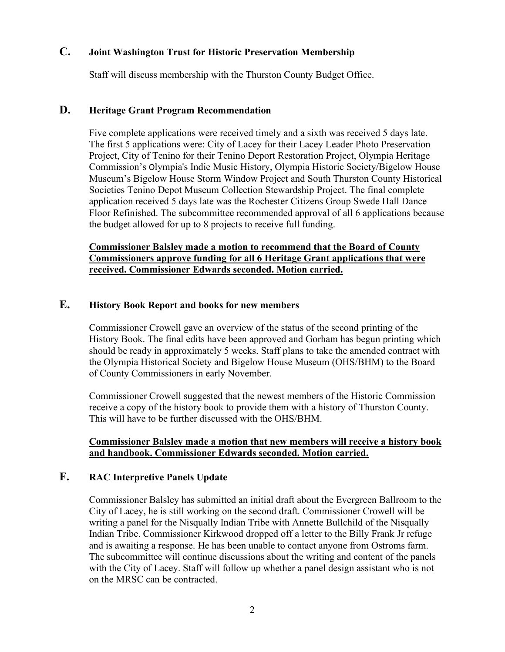## **C. Joint Washington Trust for Historic Preservation Membership**

Staff will discuss membership with the Thurston County Budget Office.

## **D. Heritage Grant Program Recommendation**

Five complete applications were received timely and a sixth was received 5 days late. The first 5 applications were: City of Lacey for their Lacey Leader Photo Preservation Project, City of Tenino for their Tenino Deport Restoration Project, Olympia Heritage Commission's Olympia's Indie Music History, Olympia Historic Society/Bigelow House Museum's Bigelow House Storm Window Project and South Thurston County Historical Societies Tenino Depot Museum Collection Stewardship Project. The final complete application received 5 days late was the Rochester Citizens Group Swede Hall Dance Floor Refinished. The subcommittee recommended approval of all 6 applications because the budget allowed for up to 8 projects to receive full funding.

## **Commissioner Balsley made a motion to recommend that the Board of County Commissioners approve funding for all 6 Heritage Grant applications that were received. Commissioner Edwards seconded. Motion carried.**

## **E. History Book Report and books for new members**

Commissioner Crowell gave an overview of the status of the second printing of the History Book. The final edits have been approved and Gorham has begun printing which should be ready in approximately 5 weeks. Staff plans to take the amended contract with the Olympia Historical Society and Bigelow House Museum (OHS/BHM) to the Board of County Commissioners in early November.

Commissioner Crowell suggested that the newest members of the Historic Commission receive a copy of the history book to provide them with a history of Thurston County. This will have to be further discussed with the OHS/BHM.

#### **Commissioner Balsley made a motion that new members will receive a history book and handbook. Commissioner Edwards seconded. Motion carried.**

# **F. RAC Interpretive Panels Update**

Commissioner Balsley has submitted an initial draft about the Evergreen Ballroom to the City of Lacey, he is still working on the second draft. Commissioner Crowell will be writing a panel for the Nisqually Indian Tribe with Annette Bullchild of the Nisqually Indian Tribe. Commissioner Kirkwood dropped off a letter to the Billy Frank Jr refuge and is awaiting a response. He has been unable to contact anyone from Ostroms farm. The subcommittee will continue discussions about the writing and content of the panels with the City of Lacey. Staff will follow up whether a panel design assistant who is not on the MRSC can be contracted.